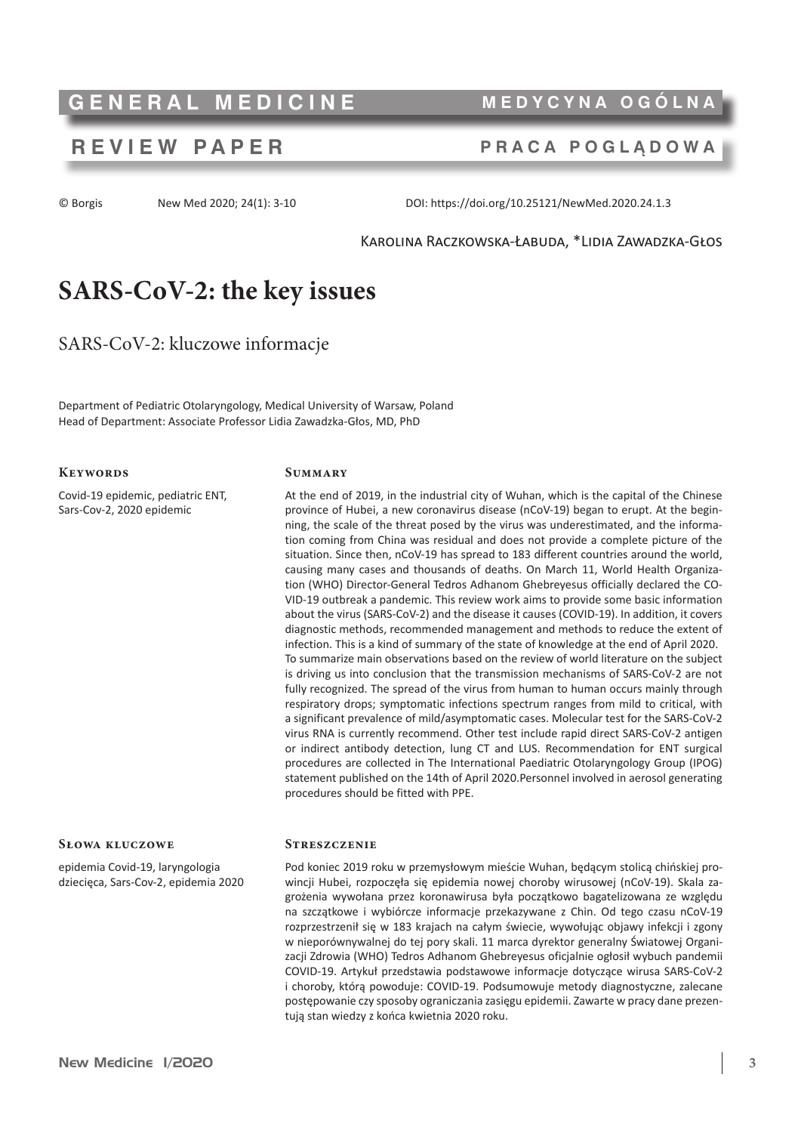# **GENERAL MEDICINE MEDYCYNA OGÓLNA**

## **REVIEW PAPER PRACA POGLĄDOWA**

© Borgis New Med 2020; 24(1): 3-10 DOI: https://doi.org/10.25121/NewMed.2020.24.1.3

#### Karolina Raczkowska-Łabuda, \*Lidia Zawadzka-Głos

# **SARS-CoV-2: the key issues**

SARS-CoV-2: kluczowe informacje

Department of Pediatric Otolaryngology, Medical University of Warsaw, Poland Head of Department: Associate Professor Lidia Zawadzka-Głos, MD, PhD

#### **Keywords**

Covid-19 epidemic, pediatric ENT, Sars-Cov-2, 2020 epidemic

#### **Summary**

At the end of 2019, in the industrial city of Wuhan, which is the capital of the Chinese province of Hubei, a new coronavirus disease (nCoV-19) began to erupt. At the beginning, the scale of the threat posed by the virus was underestimated, and the information coming from China was residual and does not provide a complete picture of the situation. Since then, nCoV-19 has spread to 183 different countries around the world, causing many cases and thousands of deaths. On March 11, World Health Organization (WHO) Director-General Tedros Adhanom Ghebreyesus officially declared the CO-VID-19 outbreak a pandemic. This review work aims to provide some basic information about the virus (SARS-CoV-2) and the disease it causes (COVID-19). In addition, it covers diagnostic methods, recommended management and methods to reduce the extent of infection. This is a kind of summary of the state of knowledge at the end of April 2020. To summarize main observations based on the review of world literature on the subject is driving us into conclusion that the transmission mechanisms of SARS-CoV-2 are not fully recognized. The spread of the virus from human to human occurs mainly through respiratory drops; symptomatic infections spectrum ranges from mild to critical, with a significant prevalence of mild/asymptomatic cases. Molecular test for the SARS-CoV-2 virus RNA is currently recommend. Other test include rapid direct SARS-CoV-2 antigen or indirect antibody detection, lung CT and LUS. Recommendation for ENT surgical procedures are collected in The International Paediatric Otolaryngology Group (IPOG) statement published on the 14th of April 2020.Personnel involved in aerosol generating procedures should be fitted with PPE.

#### **Słowa kluczowe**

epidemia Covid-19, laryngologia dziecięca, Sars-Cov-2, epidemia 2020

#### **Streszczenie**

Pod koniec 2019 roku w przemysłowym mieście Wuhan, będącym stolicą chińskiej prowincji Hubei, rozpoczęła się epidemia nowej choroby wirusowej (nCoV-19). Skala zagrożenia wywołana przez koronawirusa była początkowo bagatelizowana ze względu na szczątkowe i wybiórcze informacje przekazywane z Chin. Od tego czasu nCoV-19 rozprzestrzenił się w 183 krajach na całym świecie, wywołując objawy infekcji i zgony w nieporównywalnej do tej pory skali. 11 marca dyrektor generalny Światowej Organizacji Zdrowia (WHO) Tedros Adhanom Ghebreyesus oficjalnie ogłosił wybuch pandemii COVID-19. Artykuł przedstawia podstawowe informacje dotyczące wirusa SARS-CoV-2 i choroby, którą powoduje: COVID-19. Podsumowuje metody diagnostyczne, zalecane postępowanie czy sposoby ograniczania zasięgu epidemii. Zawarte w pracy dane prezentują stan wiedzy z końca kwietnia 2020 roku.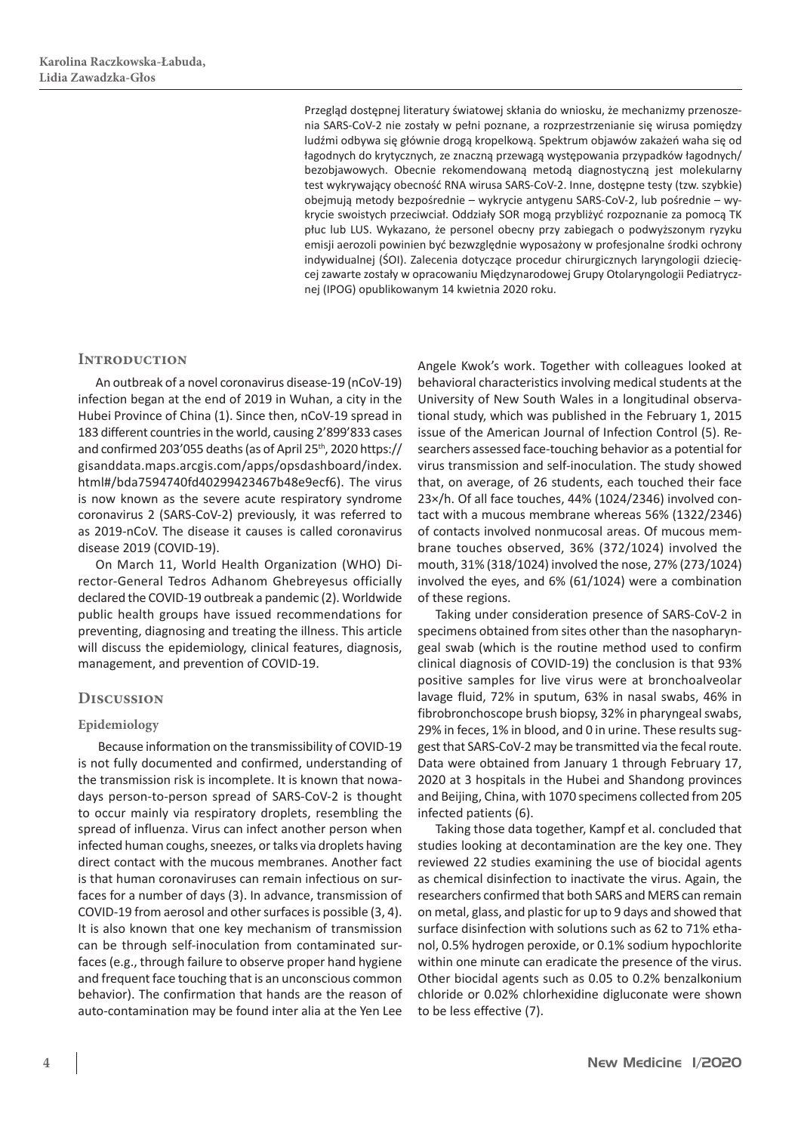Przegląd dostępnej literatury światowej skłania do wniosku, że mechanizmy przenoszenia SARS-CoV-2 nie zostały w pełni poznane, a rozprzestrzenianie się wirusa pomiędzy ludźmi odbywa się głównie drogą kropelkową. Spektrum objawów zakażeń waha się od łagodnych do krytycznych, ze znaczną przewagą występowania przypadków łagodnych/ bezobjawowych. Obecnie rekomendowaną metodą diagnostyczną jest molekularny test wykrywający obecność RNA wirusa SARS-CoV-2. Inne, dostępne testy (tzw. szybkie) obejmują metody bezpośrednie – wykrycie antygenu SARS-CoV-2, lub pośrednie – wykrycie swoistych przeciwciał. Oddziały SOR mogą przybliżyć rozpoznanie za pomocą TK płuc lub LUS. Wykazano, że personel obecny przy zabiegach o podwyższonym ryzyku emisji aerozoli powinien być bezwzględnie wyposażony w profesjonalne środki ochrony indywidualnej (ŚOI). Zalecenia dotyczące procedur chirurgicznych laryngologii dziecięcej zawarte zostały w opracowaniu Międzynarodowej Grupy Otolaryngologii Pediatrycznej (IPOG) opublikowanym 14 kwietnia 2020 roku.

#### **INTRODUCTION**

An outbreak of a novel coronavirus disease-19 (nCoV-19) infection began at the end of 2019 in Wuhan, a city in the Hubei Province of China (1). Since then, nCoV-19 spread in 183 different countries in the world, causing 2'899'833 cases and confirmed 203'055 deaths (as of April 25<sup>th</sup>, 2020 https:// gisanddata.maps.arcgis.com/apps/opsdashboard/index. html#/bda7594740fd40299423467b48e9ecf6). The virus is now known as the severe acute respiratory syndrome coronavirus 2 (SARS-CoV-2) previously, it was referred to as 2019-nCoV. The disease it causes is called coronavirus disease 2019 (COVID-19).

On March 11, World Health Organization (WHO) Director-General Tedros Adhanom Ghebreyesus officially declared the COVID-19 outbreak a pandemic (2). Worldwide public health groups have issued recommendations for preventing, diagnosing and treating the illness. This article will discuss the epidemiology, clinical features, diagnosis, management, and prevention of COVID-19.

#### **Discussion**

#### **Epidemiology**

 Because information on the transmissibility of COVID-19 is not fully documented and confirmed, understanding of the transmission risk is incomplete. It is known that nowadays person-to-person spread of SARS-CoV-2 is thought to occur mainly via respiratory droplets, resembling the spread of influenza. Virus can infect another person when infected human coughs, sneezes, or talks via droplets having direct contact with the mucous membranes. Another fact is that human coronaviruses can remain infectious on surfaces for a number of days (3). In advance, transmission of COVID-19 from aerosol and other surfaces is possible (3, 4). It is also known that one key mechanism of transmission can be through self-inoculation from contaminated surfaces(e.g., through failure to observe proper hand hygiene and frequent face touching that is an unconscious common behavior). The confirmation that hands are the reason of auto-contamination may be found inter alia at the Yen Lee

Angele Kwok's work. Together with colleagues looked at behavioral characteristics involving medical students at the University of New South Wales in a longitudinal observational study, which was published in the February 1, 2015 issue of the American Journal of Infection Control (5). Researchers assessed face-touching behavior as a potential for virus transmission and self-inoculation. The study showed that, on average, of 26 students, each touched their face 23×/h. Of all face touches, 44% (1024/2346) involved contact with a mucous membrane whereas 56% (1322/2346) of contacts involved nonmucosal areas. Of mucous membrane touches observed, 36% (372/1024) involved the mouth, 31% (318/1024) involved the nose, 27% (273/1024) involved the eyes, and 6% (61/1024) were a combination of these regions.

Taking under consideration presence of SARS-CoV-2 in specimens obtained from sites other than the nasopharyngeal swab (which is the routine method used to confirm clinical diagnosis of COVID-19) the conclusion is that 93% positive samples for live virus were at bronchoalveolar lavage fluid, 72% in sputum, 63% in nasal swabs, 46% in fibrobronchoscope brush biopsy, 32% in pharyngeal swabs, 29% in feces, 1% in blood, and 0 in urine. These results suggest that SARS-CoV-2 may be transmitted via the fecal route. Data were obtained from January 1 through February 17, 2020 at 3 hospitals in the Hubei and Shandong provinces and Beijing, China, with 1070 specimens collected from 205 infected patients (6).

Taking those data together, Kampf et al. concluded that studies looking at decontamination are the key one. They reviewed 22 studies examining the use of biocidal agents as chemical disinfection to inactivate the virus. Again, the researchers confirmed that both SARS and MERS can remain on metal, glass, and plastic for up to 9 days and showed that surface disinfection with solutions such as 62 to 71% ethanol, 0.5% hydrogen peroxide, or 0.1% sodium hypochlorite within one minute can eradicate the presence of the virus. Other biocidal agents such as 0.05 to 0.2% benzalkonium chloride or 0.02% chlorhexidine digluconate were shown to be less effective (7).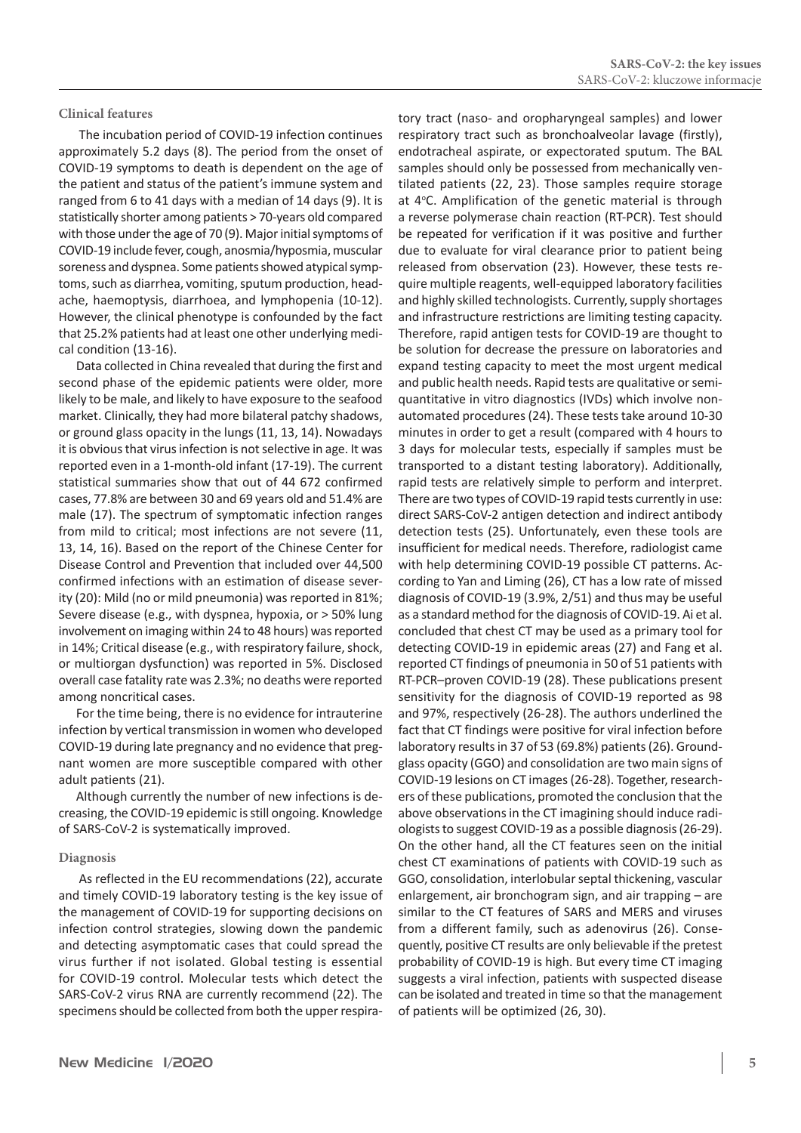#### **Clinical features**

 The incubation period of COVID-19 infection continues approximately 5.2 days (8). The period from the onset of COVID-19 symptoms to death is dependent on the age of the patient and status of the patient's immune system and ranged from 6 to 41 days with a median of 14 days (9). It is statistically shorter among patients > 70-years old compared with those under the age of 70 (9). Major initial symptoms of COVID-19 include fever, cough, anosmia/hyposmia, muscular soreness and dyspnea. Some patients showed atypical symptoms, such as diarrhea, vomiting, sputum production, headache, haemoptysis, diarrhoea, and lymphopenia (10-12). However, the clinical phenotype is confounded by the fact that 25.2% patients had at least one other underlying medical condition (13-16).

Data collected in China revealed that during the first and second phase of the epidemic patients were older, more likely to be male, and likely to have exposure to the seafood market. Clinically, they had more bilateral patchy shadows, or ground glass opacity in the lungs (11, 13, 14). Nowadays it is obvious that virus infection is not selective in age. It was reported even in a 1-month-old infant (17-19). The current statistical summaries show that out of 44 672 confirmed cases, 77.8% are between 30 and 69 years old and 51.4% are male (17). The spectrum of symptomatic infection ranges from mild to critical; most infections are not severe (11, 13, 14, 16). Based on the report of the Chinese Center for Disease Control and Prevention that included over 44,500 confirmed infections with an estimation of disease severity (20): Mild (no or mild pneumonia) was reported in 81%; Severe disease (e.g., with dyspnea, hypoxia, or > 50% lung involvement on imaging within 24 to 48 hours) was reported in 14%; Critical disease (e.g., with respiratory failure, shock, or multiorgan dysfunction) was reported in 5%. Disclosed overall case fatality rate was 2.3%; no deaths were reported among noncritical cases.

For the time being, there is no evidence for intrauterine infection by vertical transmission in women who developed COVID-19 during late pregnancy and no evidence that pregnant women are more susceptible compared with other adult patients (21).

Although currently the number of new infections is decreasing, the COVID-19 epidemic is still ongoing. Knowledge of SARS-CoV-2 is systematically improved.

#### **Diagnosis**

 As reflected in the EU recommendations (22), accurate and timely COVID-19 laboratory testing is the key issue of the management of COVID-19 for supporting decisions on infection control strategies, slowing down the pandemic and detecting asymptomatic cases that could spread the virus further if not isolated. Global testing is essential for COVID-19 control. Molecular tests which detect the SARS-CoV-2 virus RNA are currently recommend (22). The specimens should be collected from both the upper respiratory tract (naso- and oropharyngeal samples) and lower respiratory tract such as bronchoalveolar lavage (firstly), endotracheal aspirate, or expectorated sputum. The BAL samples should only be possessed from mechanically ventilated patients (22, 23). Those samples require storage at 4°C. Amplification of the genetic material is through a reverse polymerase chain reaction (RT-PCR). Test should be repeated for verification if it was positive and further due to evaluate for viral clearance prior to patient being released from observation (23). However, these tests require multiple reagents, well-equipped laboratory facilities and highly skilled technologists. Currently, supply shortages and infrastructure restrictions are limiting testing capacity. Therefore, rapid antigen tests for COVID-19 are thought to be solution for decrease the pressure on laboratories and expand testing capacity to meet the most urgent medical and public health needs. Rapid tests are qualitative or semiquantitative in vitro diagnostics (IVDs) which involve nonautomated procedures(24). These tests take around 10-30 minutes in order to get a result (compared with 4 hours to 3 days for molecular tests, especially if samples must be transported to a distant testing laboratory). Additionally, rapid tests are relatively simple to perform and interpret. There are two types of COVID-19 rapid tests currently in use: direct SARS-CoV-2 antigen detection and indirect antibody detection tests (25). Unfortunately, even these tools are insufficient for medical needs. Therefore, radiologist came with help determining COVID-19 possible CT patterns. According to Yan and Liming (26), CT has a low rate of missed diagnosis of COVID-19 (3.9%, 2/51) and thus may be useful as a standard method for the diagnosis of COVID-19. Ai et al. concluded that chest CT may be used as a primary tool for detecting COVID-19 in epidemic areas (27) and Fang et al. reported CT findings of pneumonia in 50 of 51 patients with RT-PCR–proven COVID-19 (28). These publications present sensitivity for the diagnosis of COVID-19 reported as 98 and 97%, respectively (26-28). The authors underlined the fact that CT findings were positive for viral infection before laboratory results in 37 of 53 (69.8%) patients(26). Groundglass opacity (GGO) and consolidation are two main signs of COVID-19 lesions on CT images(26-28). Together, researchers of these publications, promoted the conclusion that the above observations in the CT imagining should induce radiologists to suggest COVID-19 as a possible diagnosis(26-29). On the other hand, all the CT features seen on the initial chest CT examinations of patients with COVID-19 such as GGO, consolidation, interlobular septal thickening, vascular enlargement, air bronchogram sign, and air trapping – are similar to the CT features of SARS and MERS and viruses from a different family, such as adenovirus (26). Consequently, positive CT results are only believable if the pretest probability of COVID-19 is high. But every time CT imaging suggests a viral infection, patients with suspected disease can be isolated and treated in time so that the management of patients will be optimized (26, 30).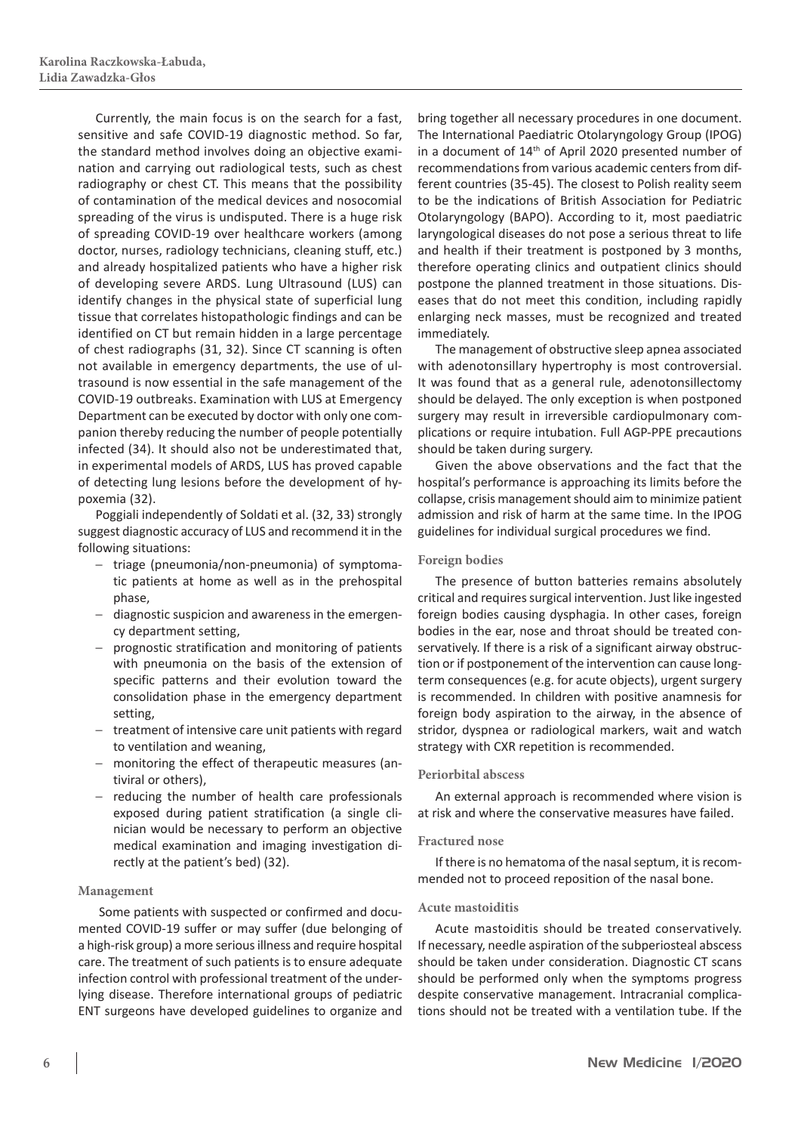Currently, the main focus is on the search for a fast, sensitive and safe COVID-19 diagnostic method. So far, the standard method involves doing an objective examination and carrying out radiological tests, such as chest radiography or chest CT. This means that the possibility of contamination of the medical devices and nosocomial spreading of the virus is undisputed. There is a huge risk of spreading COVID-19 over healthcare workers (among doctor, nurses, radiology technicians, cleaning stuff, etc.) and already hospitalized patients who have a higher risk of developing severe ARDS. Lung Ultrasound (LUS) can identify changes in the physical state of superficial lung tissue that correlates histopathologic findings and can be identified on CT but remain hidden in a large percentage of chest radiographs (31, 32). Since CT scanning is often not available in emergency departments, the use of ultrasound is now essential in the safe management of the COVID-19 outbreaks. Examination with LUS at Emergency Department can be executed by doctor with only one companion thereby reducing the number of people potentially infected (34). It should also not be underestimated that, in experimental models of ARDS, LUS has proved capable of detecting lung lesions before the development of hypoxemia (32).

Poggiali independently of Soldati et al. (32, 33) strongly suggest diagnostic accuracy of LUS and recommend it in the following situations:

- triage (pneumonia/non‐pneumonia) of symptomatic patients at home as well as in the prehospital phase,
- diagnostic suspicion and awareness in the emergency department setting,
- prognostic stratification and monitoring of patients with pneumonia on the basis of the extension of specific patterns and their evolution toward the consolidation phase in the emergency department setting,
- treatment of intensive care unit patients with regard to ventilation and weaning,
- monitoring the effect of therapeutic measures (antiviral or others),
- reducing the number of health care professionals exposed during patient stratification (a single clinician would be necessary to perform an objective medical examination and imaging investigation directly at the patient's bed) (32).

#### **Management**

 Some patients with suspected or confirmed and documented COVID-19 suffer or may suffer (due belonging of a high-risk group) a more serious illness and require hospital care. The treatment of such patients is to ensure adequate infection control with professional treatment of the underlying disease. Therefore international groups of pediatric ENT surgeons have developed guidelines to organize and

bring together all necessary procedures in one document. The International Paediatric Otolaryngology Group (IPOG) in a document of 14th of April 2020 presented number of recommendations from various academic centers from different countries (35-45). The closest to Polish reality seem to be the indications of British Association for Pediatric Otolaryngology (BAPO). According to it, most paediatric laryngological diseases do not pose a serious threat to life and health if their treatment is postponed by 3 months, therefore operating clinics and outpatient clinics should postpone the planned treatment in those situations. Diseases that do not meet this condition, including rapidly enlarging neck masses, must be recognized and treated immediately.

The management of obstructive sleep apnea associated with adenotonsillary hypertrophy is most controversial. It was found that as a general rule, adenotonsillectomy should be delayed. The only exception is when postponed surgery may result in irreversible cardiopulmonary complications or require intubation. Full AGP-PPE precautions should be taken during surgery.

Given the above observations and the fact that the hospital's performance is approaching its limits before the collapse, crisis management should aim to minimize patient admission and risk of harm at the same time. In the IPOG guidelines for individual surgical procedures we find.

#### **Foreign bodies**

The presence of button batteries remains absolutely critical and requires surgical intervention. Just like ingested foreign bodies causing dysphagia. In other cases, foreign bodies in the ear, nose and throat should be treated conservatively. If there is a risk of a significant airway obstruction or if postponement of the intervention can cause longterm consequences (e.g. for acute objects), urgent surgery is recommended. In children with positive anamnesis for foreign body aspiration to the airway, in the absence of stridor, dyspnea or radiological markers, wait and watch strategy with CXR repetition is recommended.

#### **Periorbital abscess**

An external approach is recommended where vision is at risk and where the conservative measures have failed.

#### **Fractured nose**

If there is no hematoma of the nasal septum, it is recommended not to proceed reposition of the nasal bone.

#### **Acute mastoiditis**

Acute mastoiditis should be treated conservatively. If necessary, needle aspiration of the subperiosteal abscess should be taken under consideration. Diagnostic CT scans should be performed only when the symptoms progress despite conservative management. Intracranial complications should not be treated with a ventilation tube. If the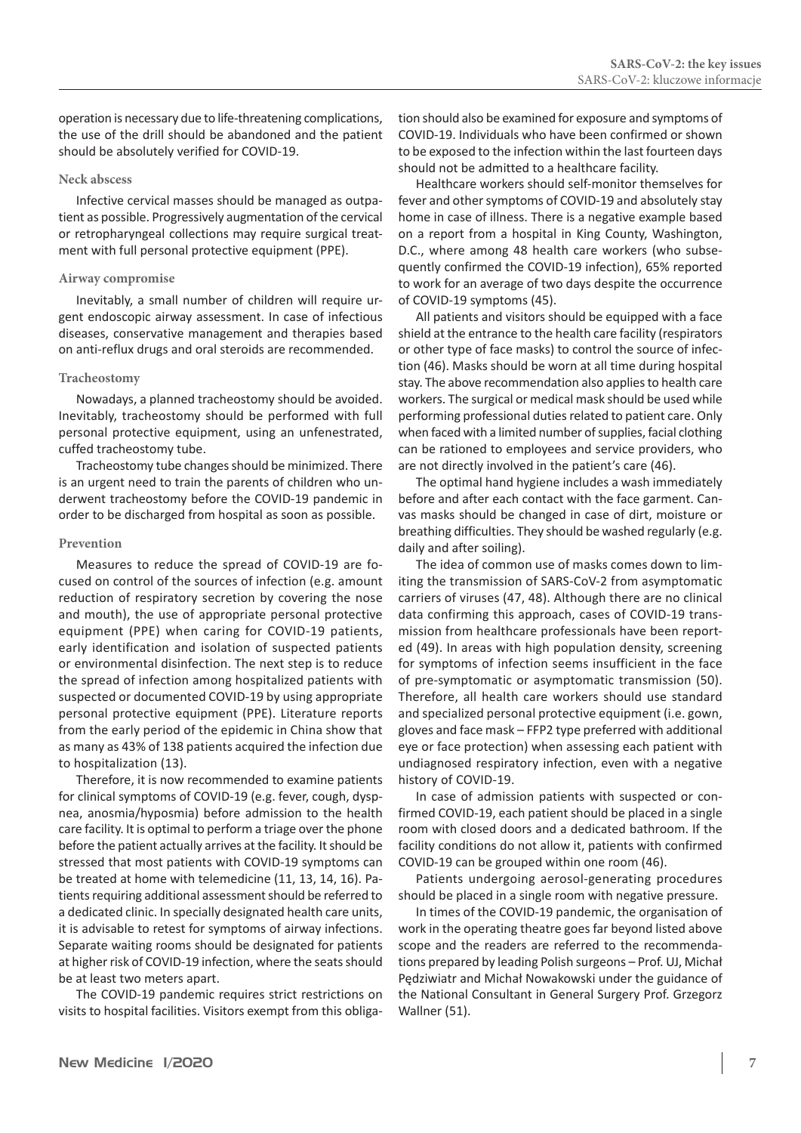operation is necessary due to life-threatening complications, the use of the drill should be abandoned and the patient should be absolutely verified for COVID-19.

#### **Neck abscess**

Infective cervical masses should be managed as outpatient as possible. Progressively augmentation of the cervical or retropharyngeal collections may require surgical treatment with full personal protective equipment (PPE).

#### **Airway compromise**

Inevitably, a small number of children will require urgent endoscopic airway assessment. In case of infectious diseases, conservative management and therapies based on anti-reflux drugs and oral steroids are recommended.

#### **Tracheostomy**

Nowadays, a planned tracheostomy should be avoided. Inevitably, tracheostomy should be performed with full personal protective equipment, using an unfenestrated, cuffed tracheostomy tube.

Tracheostomy tube changes should be minimized. There is an urgent need to train the parents of children who underwent tracheostomy before the COVID-19 pandemic in order to be discharged from hospital as soon as possible.

#### **Prevention**

Measures to reduce the spread of COVID-19 are focused on control of the sources of infection (e.g. amount reduction of respiratory secretion by covering the nose and mouth), the use of appropriate personal protective equipment (PPE) when caring for COVID-19 patients, early identification and isolation of suspected patients or environmental disinfection. The next step is to reduce the spread of infection among hospitalized patients with suspected or documented COVID-19 by using appropriate personal protective equipment (PPE). Literature reports from the early period of the epidemic in China show that as many as 43% of 138 patients acquired the infection due to hospitalization (13).

Therefore, it is now recommended to examine patients for clinical symptoms of COVID-19 (e.g. fever, cough, dyspnea, anosmia/hyposmia) before admission to the health care facility. It is optimal to perform a triage over the phone before the patient actually arrives at the facility. It should be stressed that most patients with COVID-19 symptoms can be treated at home with telemedicine (11, 13, 14, 16). Patients requiring additional assessment should be referred to a dedicated clinic. In specially designated health care units, it is advisable to retest for symptoms of airway infections. Separate waiting rooms should be designated for patients at higher risk of COVID-19 infection, where the seats should be at least two meters apart.

The COVID-19 pandemic requires strict restrictions on visits to hospital facilities. Visitors exempt from this obligation should also be examined for exposure and symptoms of COVID-19. Individuals who have been confirmed or shown to be exposed to the infection within the last fourteen days should not be admitted to a healthcare facility.

Healthcare workers should self-monitor themselves for fever and other symptoms of COVID-19 and absolutely stay home in case of illness. There is a negative example based on a report from a hospital in King County, Washington, D.C., where among 48 health care workers (who subsequently confirmed the COVID-19 infection), 65% reported to work for an average of two days despite the occurrence of COVID-19 symptoms (45).

All patients and visitors should be equipped with a face shield at the entrance to the health care facility (respirators or other type of face masks) to control the source of infection (46). Masks should be worn at all time during hospital stay. The above recommendation also applies to health care workers. The surgical or medical mask should be used while performing professional duties related to patient care. Only when faced with a limited number of supplies, facial clothing can be rationed to employees and service providers, who are not directly involved in the patient's care (46).

The optimal hand hygiene includes a wash immediately before and after each contact with the face garment. Canvas masks should be changed in case of dirt, moisture or breathing difficulties. They should be washed regularly (e.g. daily and after soiling).

The idea of common use of masks comes down to limiting the transmission of SARS-CoV-2 from asymptomatic carriers of viruses (47, 48). Although there are no clinical data confirming this approach, cases of COVID-19 transmission from healthcare professionals have been reported (49). In areas with high population density, screening for symptoms of infection seems insufficient in the face of pre-symptomatic or asymptomatic transmission (50). Therefore, all health care workers should use standard and specialized personal protective equipment (i.e. gown, gloves and face mask – FFP2 type preferred with additional eye or face protection) when assessing each patient with undiagnosed respiratory infection, even with a negative history of COVID-19.

In case of admission patients with suspected or confirmed COVID-19, each patient should be placed in a single room with closed doors and a dedicated bathroom. If the facility conditions do not allow it, patients with confirmed COVID-19 can be grouped within one room (46).

Patients undergoing aerosol-generating procedures should be placed in a single room with negative pressure.

In times of the COVID-19 pandemic, the organisation of work in the operating theatre goes far beyond listed above scope and the readers are referred to the recommendations prepared by leading Polish surgeons – Prof. UJ, Michał Pędziwiatr and Michał Nowakowski under the guidance of the National Consultant in General Surgery Prof. Grzegorz Wallner (51).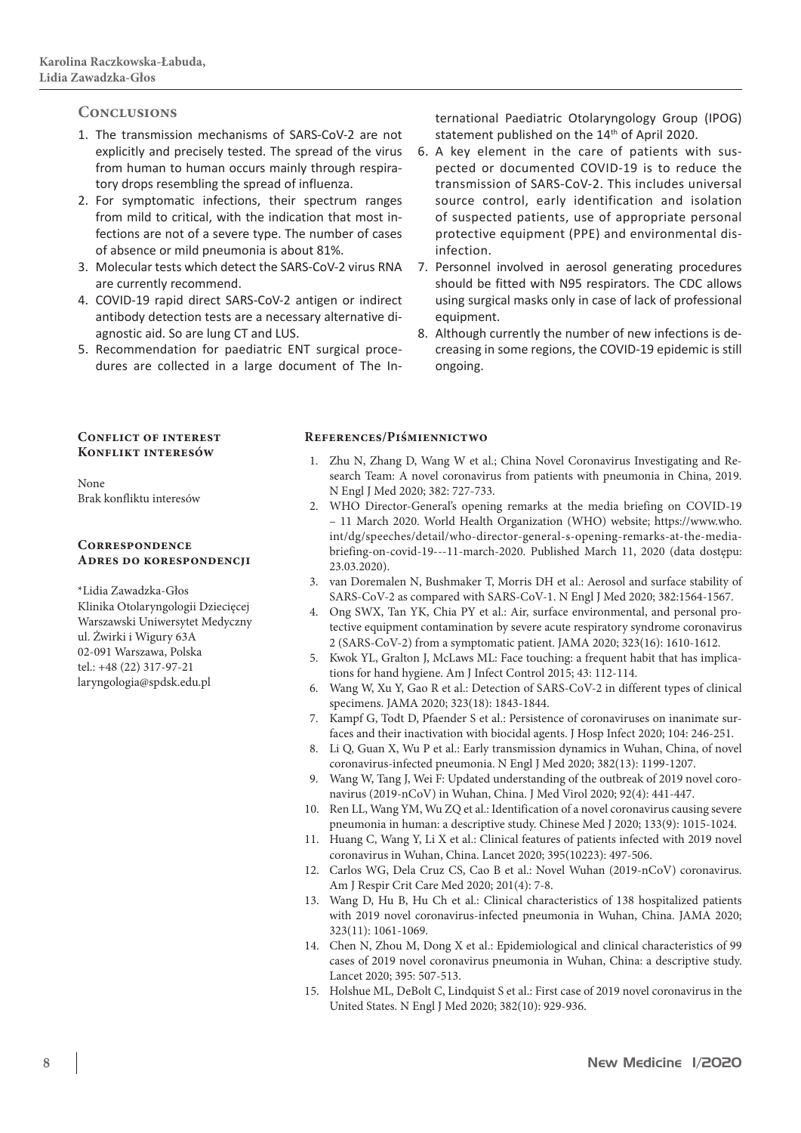### **Conclusions**

- 1. The transmission mechanisms of SARS-CoV-2 are not explicitly and precisely tested. The spread of the virus from human to human occurs mainly through respiratory drops resembling the spread of influenza.
- 2. For symptomatic infections, their spectrum ranges from mild to critical, with the indication that most infections are not of a severe type. The number of cases of absence or mild pneumonia is about 81%.
- 3. Molecular tests which detect the SARS-CoV-2 virus RNA are currently recommend.
- 4. COVID-19 rapid direct SARS-CoV-2 antigen or indirect antibody detection tests are a necessary alternative diagnostic aid. So are lung CT and LUS.
- 5. Recommendation for paediatric ENT surgical procedures are collected in a large document of The In-

ternational Paediatric Otolaryngology Group (IPOG) statement published on the 14<sup>th</sup> of April 2020.

- 6. A key element in the care of patients with suspected or documented COVID-19 is to reduce the transmission of SARS-CoV-2. This includes universal source control, early identification and isolation of suspected patients, use of appropriate personal protective equipment (PPE) and environmental disinfection.
- 7. Personnel involved in aerosol generating procedures should be fitted with N95 respirators. The CDC allows using surgical masks only in case of lack of professional equipment.
- 8. Although currently the number of new infections is decreasing in some regions, the COVID-19 epidemic is still ongoing.

#### **Conflict of interest Konflikt interesów**

None Brak konfliktu interesów

#### **Correspondence Adres do korespondencji**

\*Lidia Zawadzka-Głos Klinika Otolaryngologii Dziecięcej Warszawski Uniwersytet Medyczny ul. Żwirki i Wigury 63A 02-091 Warszawa, Polska tel.: +48 (22) 317-97-21 laryngologia@spdsk.edu.pl

#### **References/Piśmiennictwo**

- 1. Zhu N, Zhang D, Wang W et al.; China Novel Coronavirus Investigating and Research Team: A novel coronavirus from patients with pneumonia in China, 2019. N Engl J Med 2020; 382: 727-733.
- 2. WHO Director-General's opening remarks at the media briefing on COVID-19 – 11 March 2020. World Health Organization (WHO) website; https://www.who. int/dg/speeches/detail/who-director-general-s-opening-remarks-at-the-mediabriefing-on-covid-19---11-march-2020. Published March 11, 2020 (data dostępu: 23.03.2020).
- 3. van Doremalen N, Bushmaker T, Morris DH et al.: Aerosol and surface stability of SARS-CoV-2 as compared with SARS-CoV-1. N Engl J Med 2020; 382:1564-1567.
- 4. Ong SWX, Tan YK, Chia PY et al.: Air, surface environmental, and personal protective equipment contamination by severe acute respiratory syndrome coronavirus 2 (SARS-CoV-2) from a symptomatic patient. JAMA 2020; 323(16): 1610-1612.
- 5. Kwok YL, Gralton J, McLaws ML: Face touching: a frequent habit that has implications for hand hygiene. Am J Infect Control 2015; 43: 112-114.
- 6. Wang W, Xu Y, Gao R et al.: Detection of SARS-CoV-2 in different types of clinical specimens. JAMA 2020; 323(18): 1843-1844.
- 7. Kampf G, Todt D, Pfaender S et al.: Persistence of coronaviruses on inanimate surfaces and their inactivation with biocidal agents. J Hosp Infect 2020; 104: 246-251.
- 8. Li Q, Guan X, Wu P et al.: Early transmission dynamics in Wuhan, China, of novel coronavirus-infected pneumonia. N Engl J Med 2020; 382(13): 1199-1207.
- 9. Wang W, Tang J, Wei F: Updated understanding of the outbreak of 2019 novel coronavirus (2019-nCoV) in Wuhan, China. J Med Virol 2020; 92(4): 441-447.
- 10. Ren LL, Wang YM, Wu ZQ et al.: Identification of a novel coronavirus causing severe pneumonia in human: a descriptive study. Chinese Med J 2020; 133(9): 1015-1024.
- 11. Huang C, Wang Y, Li X et al.: Clinical features of patients infected with 2019 novel coronavirus in Wuhan, China. Lancet 2020; 395(10223): 497-506.
- 12. Carlos WG, Dela Cruz CS, Cao B et al.: Novel Wuhan (2019-nCoV) coronavirus. Am J Respir Crit Care Med 2020; 201(4): 7-8.
- 13. Wang D, Hu B, Hu Ch et al.: Clinical characteristics of 138 hospitalized patients with 2019 novel coronavirus-infected pneumonia in Wuhan, China. JAMA 2020; 323(11): 1061-1069.
- 14. Chen N, Zhou M, Dong X et al.: Epidemiological and clinical characteristics of 99 cases of 2019 novel coronavirus pneumonia in Wuhan, China: a descriptive study. Lancet 2020; 395: 507-513.
- 15. Holshue ML, DeBolt C, Lindquist S et al.: First case of 2019 novel coronavirus in the United States. N Engl J Med 2020; 382(10): 929-936.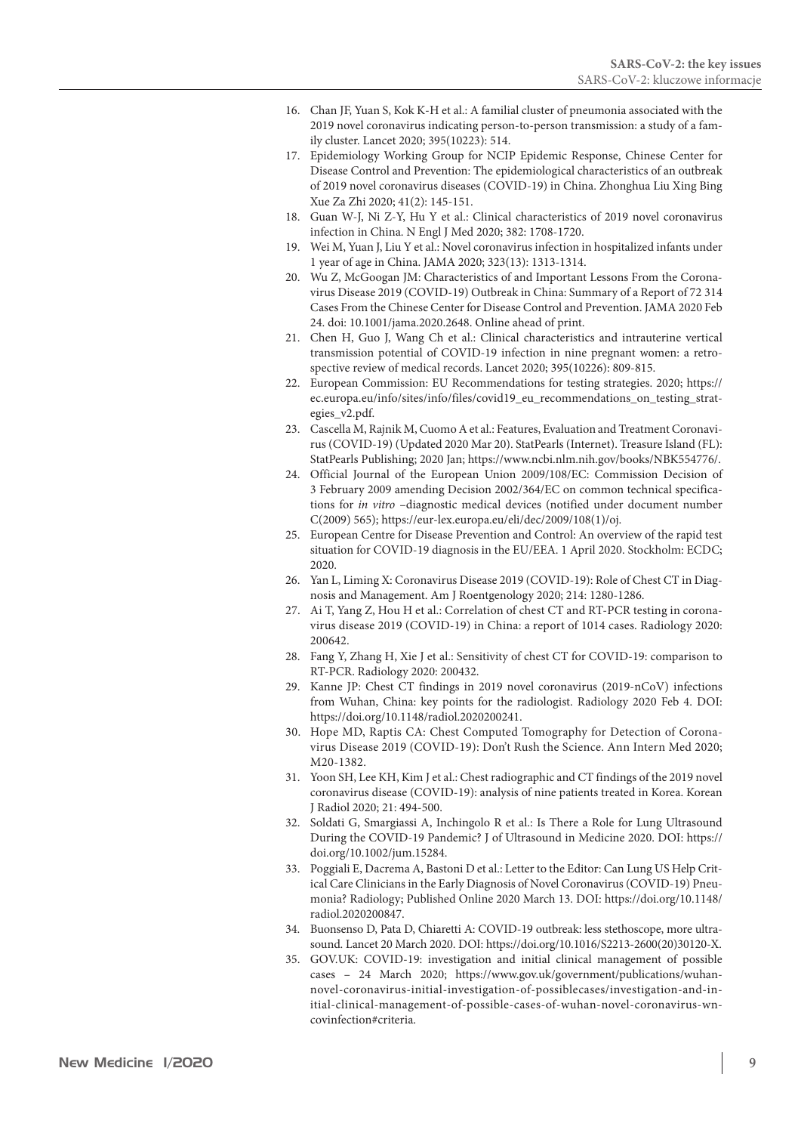- 16. Chan JF, Yuan S, Kok K-H et al.: A familial cluster of pneumonia associated with the 2019 novel coronavirus indicating person-to-person transmission: a study of a family cluster. Lancet 2020; 395(10223): 514.
- 17. Epidemiology Working Group for NCIP Epidemic Response, Chinese Center for Disease Control and Prevention: The epidemiological characteristics of an outbreak of 2019 novel coronavirus diseases (COVID-19) in China. Zhonghua Liu Xing Bing Xue Za Zhi 2020; 41(2): 145-151.
- 18. Guan W-J, Ni Z-Y, Hu Y et al.: Clinical characteristics of 2019 novel coronavirus infection in China. N Engl J Med 2020; 382: 1708-1720.
- 19. Wei M, Yuan J, Liu Y et al.: Novel coronavirus infection in hospitalized infants under 1 year of age in China. JAMA 2020; 323(13): 1313-1314.
- 20. Wu Z, McGoogan JM: Characteristics of and Important Lessons From the Coronavirus Disease 2019 (COVID-19) Outbreak in China: Summary of a Report of 72 314 Cases From the Chinese Center for Disease Control and Prevention. JAMA 2020 Feb 24. doi: 10.1001/jama.2020.2648. Online ahead of print.
- 21. Chen H, Guo J, Wang Ch et al.: Clinical characteristics and intrauterine vertical transmission potential of COVID-19 infection in nine pregnant women: a retrospective review of medical records. Lancet 2020; 395(10226): 809-815.
- 22. European Commission: EU Recommendations for testing strategies. 2020; https:// ec.europa.eu/info/sites/info/files/covid19\_eu\_recommendations\_on\_testing\_strategies\_v2.pdf.
- 23. Cascella M, Rajnik M, Cuomo A et al.: Features, Evaluation and Treatment Coronavirus (COVID-19) (Updated 2020 Mar 20). StatPearls (Internet). Treasure Island (FL): StatPearls Publishing; 2020 Jan; https://www.ncbi.nlm.nih.gov/books/NBK554776/.
- 24. Official Journal of the European Union 2009/108/EC: Commission Decision of 3 February 2009 amending Decision 2002/364/EC on common technical specifications for *in vitro* –diagnostic medical devices (notified under document number C(2009) 565); https://eur-lex.europa.eu/eli/dec/2009/108(1)/oj.
- 25. European Centre for Disease Prevention and Control: An overview of the rapid test situation for COVID-19 diagnosis in the EU/EEA. 1 April 2020. Stockholm: ECDC; 2020.
- 26. Yan L, Liming X: Coronavirus Disease 2019 (COVID-19): Role of Chest CT in Diagnosis and Management. Am J Roentgenology 2020; 214: 1280-1286.
- 27. Ai T, Yang Z, Hou H et al.: Correlation of chest CT and RT-PCR testing in coronavirus disease 2019 (COVID-19) in China: a report of 1014 cases. Radiology 2020: 200642.
- 28. Fang Y, Zhang H, Xie J et al.: Sensitivity of chest CT for COVID-19: comparison to RT-PCR. Radiology 2020: 200432.
- 29. Kanne JP: Chest CT findings in 2019 novel coronavirus (2019-nCoV) infections from Wuhan, China: key points for the radiologist. Radiology 2020 Feb 4. DOI: https://doi.org/10.1148/radiol.2020200241.
- 30. Hope MD, Raptis CA: Chest Computed Tomography for Detection of Coronavirus Disease 2019 (COVID-19): Don't Rush the Science. Ann Intern Med 2020; M20-1382.
- 31. Yoon SH, Lee KH, Kim J et al.: Chest radiographic and CT findings of the 2019 novel coronavirus disease (COVID‐19): analysis of nine patients treated in Korea. Korean J Radiol 2020; 21: 494-500.
- 32. Soldati G, Smargiassi A, Inchingolo R et al.: Is There a Role for Lung Ultrasound During the COVID‐19 Pandemic? J of Ultrasound in Medicine 2020. DOI: https:// doi.org/10.1002/jum.15284.
- 33. Poggiali E, Dacrema A, Bastoni D et al.: Letter to the Editor: Can Lung US Help Critical Care Clinicians in the Early Diagnosis of Novel Coronavirus (COVID-19) Pneumonia? Radiology; Published Online 2020 March 13. DOI: https://doi.org/10.1148/ radiol.2020200847.
- 34. Buonsenso D, Pata D, Chiaretti A: COVID-19 outbreak: less stethoscope, more ultrasound. Lancet 20 March 2020. DOI: https://doi.org/10.1016/S2213-2600(20)30120-X.
- 35. GOV.UK: COVID-19: investigation and initial clinical management of possible cases – 24 March 2020; https://www.gov.uk/government/publications/wuhannovel-coronavirus-initial-investigation-of-possiblecases/investigation-and-initial-clinical-management-of-possible-cases-of-wuhan-novel-coronavirus-wncovinfection#criteria.